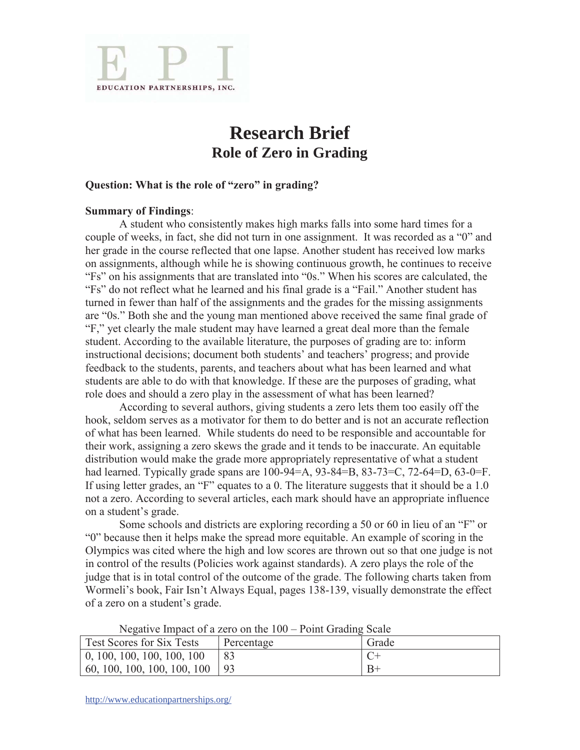

## **Research Brief Role of Zero in Grading**

## **Question: What is the role of "zero" in grading?**

## **Summary of Findings**:

 A student who consistently makes high marks falls into some hard times for a couple of weeks, in fact, she did not turn in one assignment. It was recorded as a "0" and her grade in the course reflected that one lapse. Another student has received low marks on assignments, although while he is showing continuous growth, he continues to receive "Fs" on his assignments that are translated into "0s." When his scores are calculated, the "Fs" do not reflect what he learned and his final grade is a "Fail." Another student has turned in fewer than half of the assignments and the grades for the missing assignments are "0s." Both she and the young man mentioned above received the same final grade of "F," yet clearly the male student may have learned a great deal more than the female student. According to the available literature, the purposes of grading are to: inform instructional decisions; document both students' and teachers' progress; and provide feedback to the students, parents, and teachers about what has been learned and what students are able to do with that knowledge. If these are the purposes of grading, what role does and should a zero play in the assessment of what has been learned?

 According to several authors, giving students a zero lets them too easily off the hook, seldom serves as a motivator for them to do better and is not an accurate reflection of what has been learned. While students do need to be responsible and accountable for their work, assigning a zero skews the grade and it tends to be inaccurate. An equitable distribution would make the grade more appropriately representative of what a student had learned. Typically grade spans are 100-94=A, 93-84=B, 83-73=C, 72-64=D, 63-0=F. If using letter grades, an "F" equates to a 0. The literature suggests that it should be a 1.0 not a zero. According to several articles, each mark should have an appropriate influence on a student's grade.

Some schools and districts are exploring recording a 50 or 60 in lieu of an "F" or "0" because then it helps make the spread more equitable. An example of scoring in the Olympics was cited where the high and low scores are thrown out so that one judge is not in control of the results (Policies work against standards). A zero plays the role of the judge that is in total control of the outcome of the grade. The following charts taken from Wormeli's book, Fair Isn't Always Equal, pages 138-139, visually demonstrate the effect of a zero on a student's grade.

|                                              | $1.9$ gave $\sigma$ independent on the $100$ - $1.0$ and $0.00$ and $0.00$ |       |
|----------------------------------------------|----------------------------------------------------------------------------|-------|
| Test Scores for Six Tests                    | Percentage                                                                 | Grade |
| $\vert 0, 100, 100, 100, 100, 100 \rangle$   |                                                                            |       |
| $\vert 60, 100, 100, 100, 100, 100 \vert 93$ |                                                                            | $B+$  |

Negative Impact of a zero on the 100 – Point Grading Scale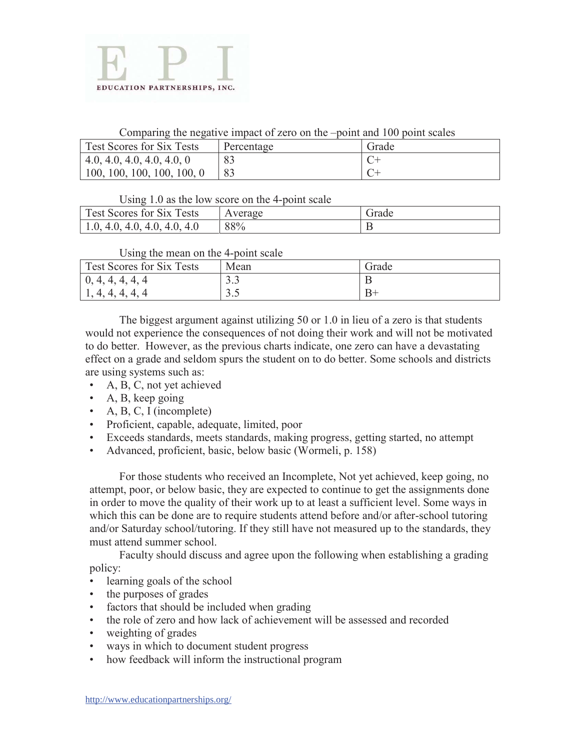

Comparing the negative impact of zero on the –point and 100 point scales

| Test Scores for Six Tests    | Percentage | Grade |
|------------------------------|------------|-------|
| (4.0, 4.0, 4.0, 4.0, 4.0, 0) |            |       |
| 100, 100, 100, 100, 100, 0   |            |       |

Using 1.0 as the low score on the 4-point scale

| <b>Test Scores for Six Tests</b>            | Average | Grade |
|---------------------------------------------|---------|-------|
| $\setminus$ 4.0, 4.0, 4.0, 4.0<br>1.0, 4.0, | 88%     |       |

Using the mean on the 4-point scale

| <b>Test Scores for Six Tests</b>                                      | Mean                   | Grade |
|-----------------------------------------------------------------------|------------------------|-------|
| $\vert 0, 4, 4, 4, 4, 4 \vert$                                        | $\sim$ $\sim$<br>ر . ر |       |
| $\overline{4}$<br>$\overline{\mathcal{A}}$<br>$\overline{\mathbf{4}}$ | ں . ر                  |       |

 The biggest argument against utilizing 50 or 1.0 in lieu of a zero is that students would not experience the consequences of not doing their work and will not be motivated to do better. However, as the previous charts indicate, one zero can have a devastating effect on a grade and seldom spurs the student on to do better. Some schools and districts are using systems such as:

- A, B, C, not yet achieved
- A, B, keep going
- A, B, C, I (incomplete)
- Proficient, capable, adequate, limited, poor
- Exceeds standards, meets standards, making progress, getting started, no attempt
- Advanced, proficient, basic, below basic (Wormeli, p. 158)

 For those students who received an Incomplete, Not yet achieved, keep going, no attempt, poor, or below basic, they are expected to continue to get the assignments done in order to move the quality of their work up to at least a sufficient level. Some ways in which this can be done are to require students attend before and/or after-school tutoring and/or Saturday school/tutoring. If they still have not measured up to the standards, they must attend summer school.

 Faculty should discuss and agree upon the following when establishing a grading policy:

- learning goals of the school
- the purposes of grades
- factors that should be included when grading
- the role of zero and how lack of achievement will be assessed and recorded
- weighting of grades
- ways in which to document student progress
- how feedback will inform the instructional program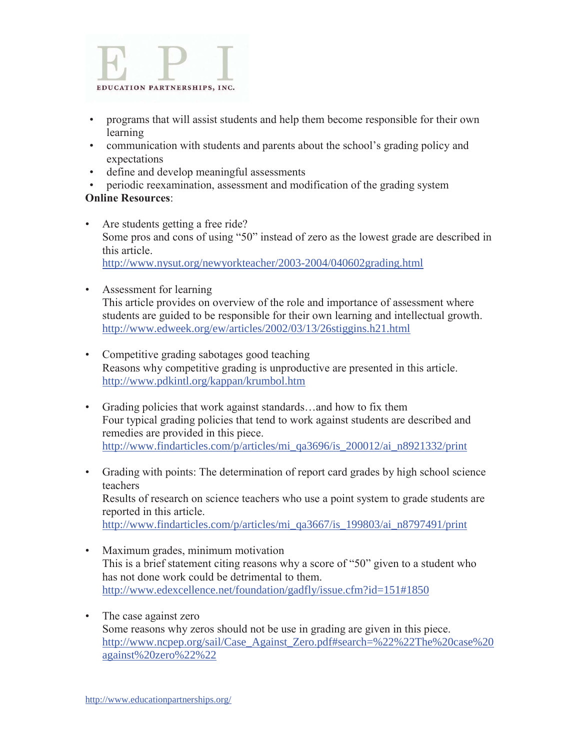

- programs that will assist students and help them become responsible for their own learning
- communication with students and parents about the school's grading policy and expectations
- define and develop meaningful assessments
- periodic reexamination, assessment and modification of the grading system

## **Online Resources**:

- Are students getting a free ride? Some pros and cons of using "50" instead of zero as the lowest grade are described in this article. http://www.nysut.org/newyorkteacher/2003-2004/040602grading.html
- Assessment for learning This article provides on overview of the role and importance of assessment where students are guided to be responsible for their own learning and intellectual growth. http://www.edweek.org/ew/articles/2002/03/13/26stiggins.h21.html
- Competitive grading sabotages good teaching Reasons why competitive grading is unproductive are presented in this article. http://www.pdkintl.org/kappan/krumbol.htm
- Grading policies that work against standards...and how to fix them Four typical grading policies that tend to work against students are described and remedies are provided in this piece. http://www.findarticles.com/p/articles/mi\_qa3696/is\_200012/ai\_n8921332/print
- Grading with points: The determination of report card grades by high school science teachers Results of research on science teachers who use a point system to grade students are reported in this article. http://www.findarticles.com/p/articles/mi\_qa3667/is\_199803/ai\_n8797491/print
- Maximum grades, minimum motivation This is a brief statement citing reasons why a score of "50" given to a student who has not done work could be detrimental to them. http://www.edexcellence.net/foundation/gadfly/issue.cfm?id=151#1850
- The case against zero Some reasons why zeros should not be use in grading are given in this piece. http://www.ncpep.org/sail/Case\_Against\_Zero.pdf#search=%22%22The%20case%20 against%20zero%22%22